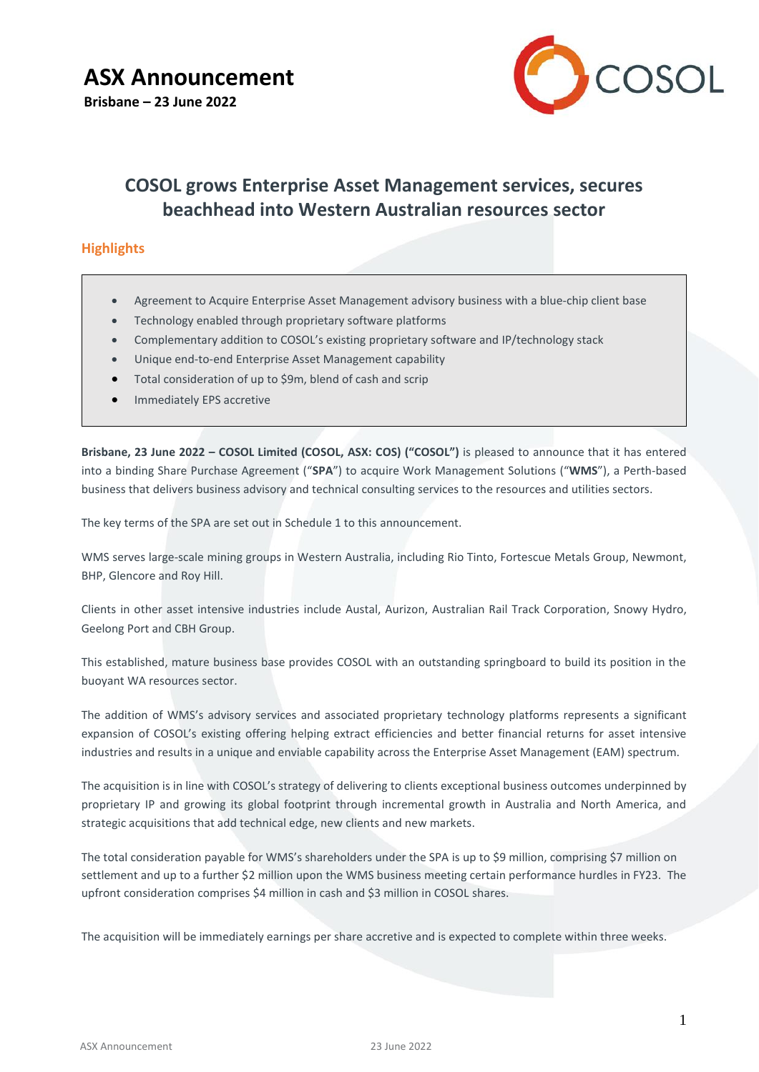

# **COSOL grows Enterprise Asset Management services, secures beachhead into Western Australian resources sector**

# **Highlights**

- Agreement to Acquire Enterprise Asset Management advisory business with a blue-chip client base
- Technology enabled through proprietary software platforms
- Complementary addition to COSOL's existing proprietary software and IP/technology stack
- Unique end-to-end Enterprise Asset Management capability
- Total consideration of up to \$9m, blend of cash and scrip
- Immediately EPS accretive

**Brisbane, 23 June 2022 – COSOL Limited (COSOL, ASX: COS) ("COSOL")** is pleased to announce that it has entered into a binding Share Purchase Agreement ("**SPA**") to acquire Work Management Solutions ("**WMS**"), a Perth-based business that delivers business advisory and technical consulting services to the resources and utilities sectors.

The key terms of the SPA are set out in Schedule 1 to this announcement.

WMS serves large-scale mining groups in Western Australia, including Rio Tinto, Fortescue Metals Group, Newmont, BHP, Glencore and Roy Hill.

Clients in other asset intensive industries include Austal, Aurizon, Australian Rail Track Corporation, Snowy Hydro, Geelong Port and CBH Group.

This established, mature business base provides COSOL with an outstanding springboard to build its position in the buoyant WA resources sector.

The addition of WMS's advisory services and associated proprietary technology platforms represents a significant expansion of COSOL's existing offering helping extract efficiencies and better financial returns for asset intensive industries and results in a unique and enviable capability across the Enterprise Asset Management (EAM) spectrum.

The acquisition is in line with COSOL's strategy of delivering to clients exceptional business outcomes underpinned by proprietary IP and growing its global footprint through incremental growth in Australia and North America, and strategic acquisitions that add technical edge, new clients and new markets.

The total consideration payable for WMS's shareholders under the SPA is up to \$9 million, comprising \$7 million on settlement and up to a further \$2 million upon the WMS business meeting certain performance hurdles in FY23. The upfront consideration comprises \$4 million in cash and \$3 million in COSOL shares.

The acquisition will be immediately earnings per share accretive and is expected to complete within three weeks.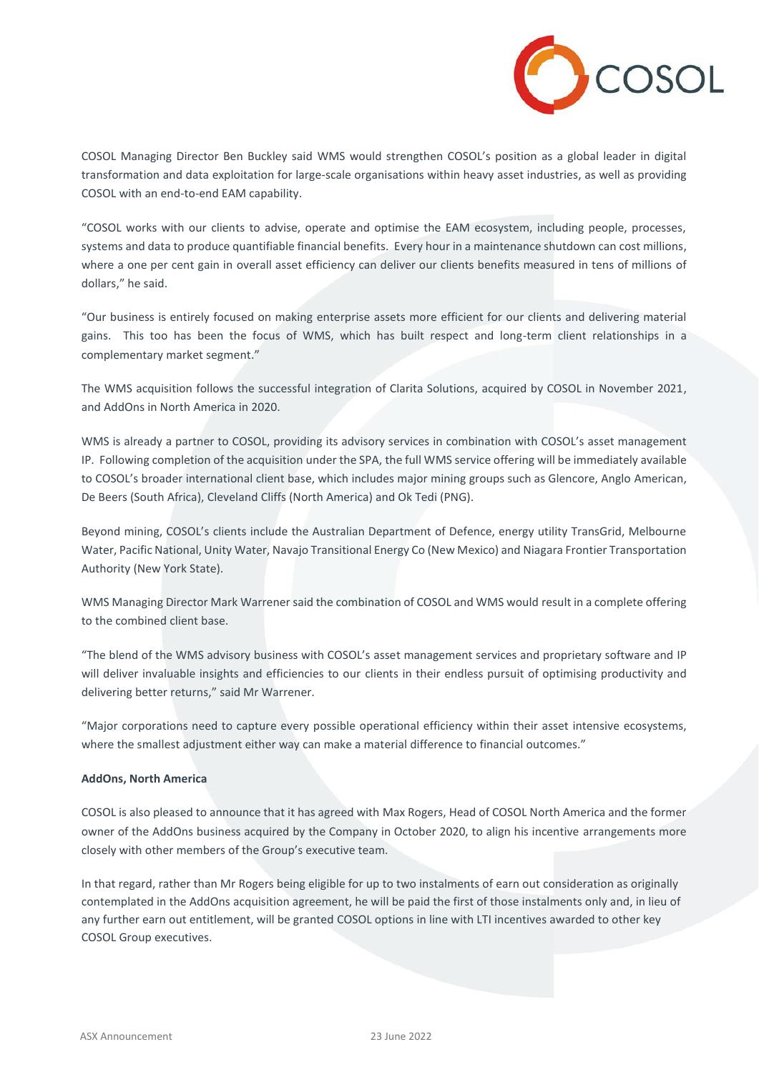

COSOL Managing Director Ben Buckley said WMS would strengthen COSOL's position as a global leader in digital transformation and data exploitation for large-scale organisations within heavy asset industries, as well as providing COSOL with an end-to-end EAM capability.

"COSOL works with our clients to advise, operate and optimise the EAM ecosystem, including people, processes, systems and data to produce quantifiable financial benefits. Every hour in a maintenance shutdown can cost millions, where a one per cent gain in overall asset efficiency can deliver our clients benefits measured in tens of millions of dollars," he said.

"Our business is entirely focused on making enterprise assets more efficient for our clients and delivering material gains. This too has been the focus of WMS, which has built respect and long-term client relationships in a complementary market segment."

The WMS acquisition follows the successful integration of Clarita Solutions, acquired by COSOL in November 2021, and AddOns in North America in 2020.

WMS is already a partner to COSOL, providing its advisory services in combination with COSOL's asset management IP. Following completion of the acquisition under the SPA, the full WMS service offering will be immediately available to COSOL's broader international client base, which includes major mining groups such as Glencore, Anglo American, De Beers (South Africa), Cleveland Cliffs (North America) and Ok Tedi (PNG).

Beyond mining, COSOL's clients include the Australian Department of Defence, energy utility TransGrid, Melbourne Water, Pacific National, Unity Water, Navajo Transitional Energy Co (New Mexico) and Niagara Frontier Transportation Authority (New York State).

WMS Managing Director Mark Warrener said the combination of COSOL and WMS would result in a complete offering to the combined client base.

"The blend of the WMS advisory business with COSOL's asset management services and proprietary software and IP will deliver invaluable insights and efficiencies to our clients in their endless pursuit of optimising productivity and delivering better returns," said Mr Warrener.

"Major corporations need to capture every possible operational efficiency within their asset intensive ecosystems, where the smallest adjustment either way can make a material difference to financial outcomes."

### **AddOns, North America**

COSOL is also pleased to announce that it has agreed with Max Rogers, Head of COSOL North America and the former owner of the AddOns business acquired by the Company in October 2020, to align his incentive arrangements more closely with other members of the Group's executive team.

In that regard, rather than Mr Rogers being eligible for up to two instalments of earn out consideration as originally contemplated in the AddOns acquisition agreement, he will be paid the first of those instalments only and, in lieu of any further earn out entitlement, will be granted COSOL options in line with LTI incentives awarded to other key COSOL Group executives.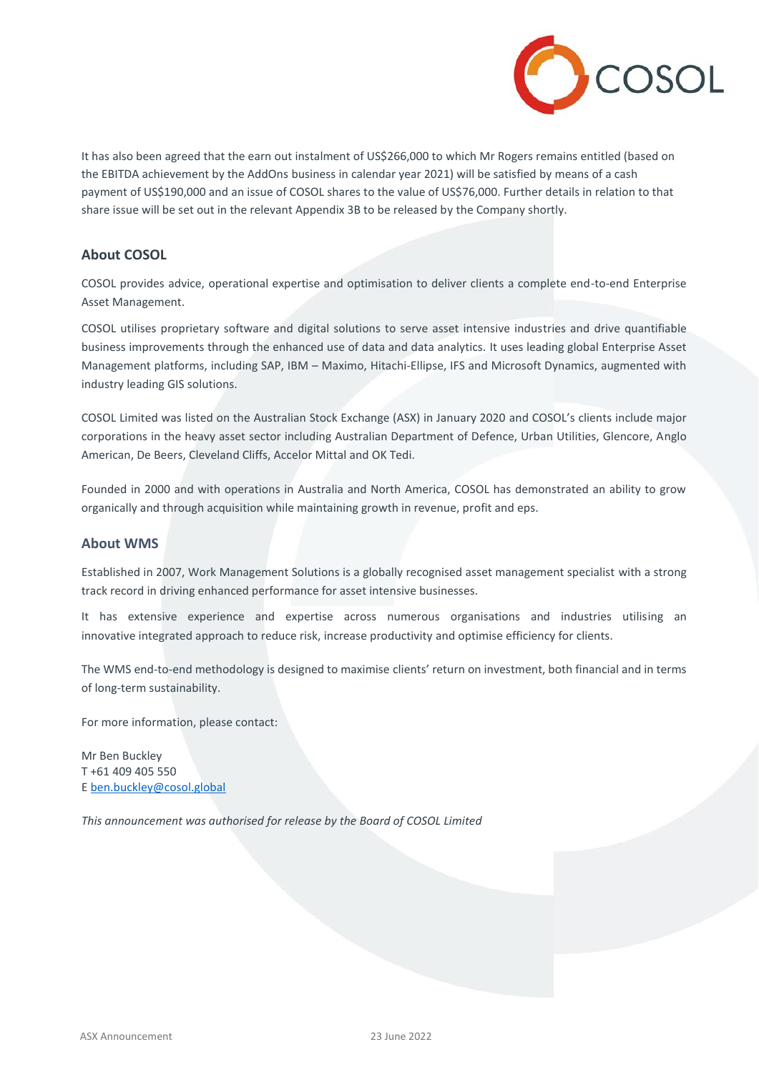

It has also been agreed that the earn out instalment of US\$266,000 to which Mr Rogers remains entitled (based on the EBITDA achievement by the AddOns business in calendar year 2021) will be satisfied by means of a cash payment of US\$190,000 and an issue of COSOL shares to the value of US\$76,000. Further details in relation to that share issue will be set out in the relevant Appendix 3B to be released by the Company shortly.

# **About COSOL**

COSOL provides advice, operational expertise and optimisation to deliver clients a complete end-to-end Enterprise Asset Management.

COSOL utilises proprietary software and digital solutions to serve asset intensive industries and drive quantifiable business improvements through the enhanced use of data and data analytics. It uses leading global Enterprise Asset Management platforms, including SAP, IBM – Maximo, Hitachi-Ellipse, IFS and Microsoft Dynamics, augmented with industry leading GIS solutions.

COSOL Limited was listed on the Australian Stock Exchange (ASX) in January 2020 and COSOL's clients include major corporations in the heavy asset sector including Australian Department of Defence, Urban Utilities, Glencore, Anglo American, De Beers, Cleveland Cliffs, Accelor Mittal and OK Tedi.

Founded in 2000 and with operations in Australia and North America, COSOL has demonstrated an ability to grow organically and through acquisition while maintaining growth in revenue, profit and eps.

# **About WMS**

Established in 2007, Work Management Solutions is a globally recognised asset management specialist with a strong track record in driving enhanced performance for asset intensive businesses.

It has extensive experience and expertise across numerous organisations and industries utilising an innovative integrated approach to reduce risk, increase productivity and optimise efficiency for clients.

The WMS end-to-end methodology is designed to maximise clients' return on investment, both financial and in terms of long-term sustainability.

For more information, please contact:

Mr Ben Buckley T +61 409 405 550 E [ben.buckley@cosol.global](about:blank)

*This announcement was authorised for release by the Board of COSOL Limited*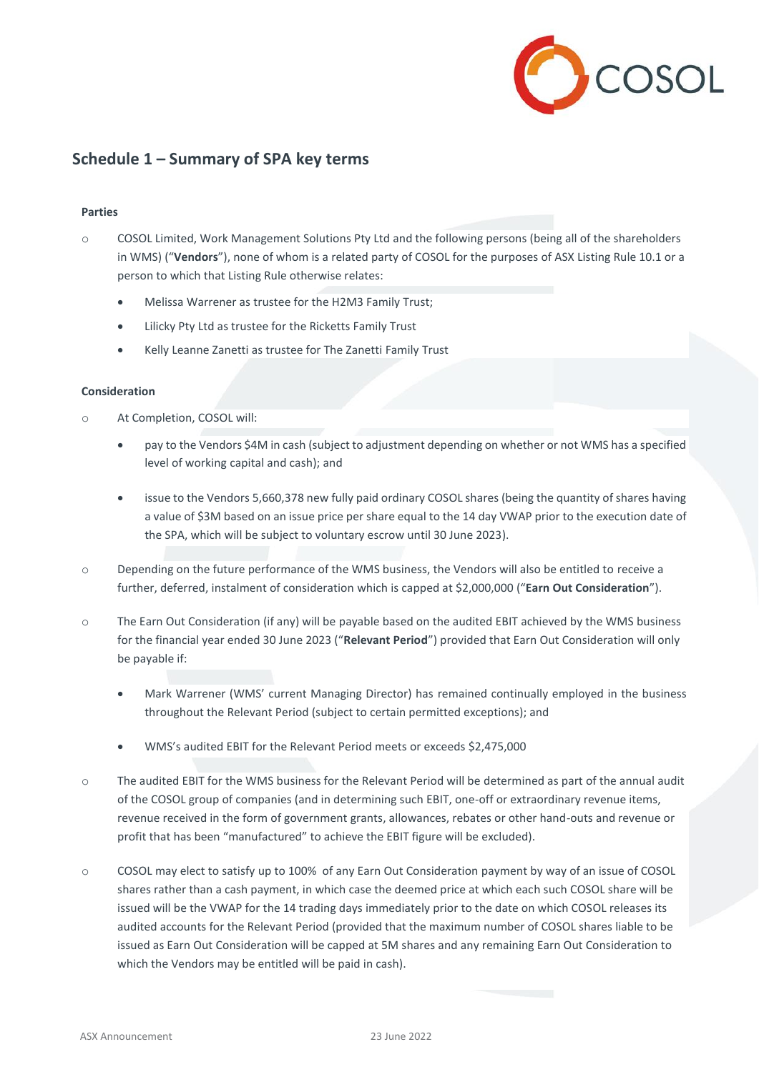

# **Schedule 1 – Summary of SPA key terms**

# **Parties**

- o COSOL Limited, Work Management Solutions Pty Ltd and the following persons (being all of the shareholders in WMS) ("**Vendors**"), none of whom is a related party of COSOL for the purposes of ASX Listing Rule 10.1 or a person to which that Listing Rule otherwise relates:
	- Melissa Warrener as trustee for the H2M3 Family Trust;
	- Lilicky Pty Ltd as trustee for the Ricketts Family Trust
	- Kelly Leanne Zanetti as trustee for The Zanetti Family Trust

# **Consideration**

- o At Completion, COSOL will:
	- pay to the Vendors \$4M in cash (subject to adjustment depending on whether or not WMS has a specified level of working capital and cash); and
	- issue to the Vendors 5,660,378 new fully paid ordinary COSOL shares (being the quantity of shares having a value of \$3M based on an issue price per share equal to the 14 day VWAP prior to the execution date of the SPA, which will be subject to voluntary escrow until 30 June 2023).
- o Depending on the future performance of the WMS business, the Vendors will also be entitled to receive a further, deferred, instalment of consideration which is capped at \$2,000,000 ("**Earn Out Consideration**").
- o The Earn Out Consideration (if any) will be payable based on the audited EBIT achieved by the WMS business for the financial year ended 30 June 2023 ("**Relevant Period**") provided that Earn Out Consideration will only be payable if:
	- Mark Warrener (WMS' current Managing Director) has remained continually employed in the business throughout the Relevant Period (subject to certain permitted exceptions); and
	- WMS's audited EBIT for the Relevant Period meets or exceeds \$2,475,000
- o The audited EBIT for the WMS business for the Relevant Period will be determined as part of the annual audit of the COSOL group of companies (and in determining such EBIT, one-off or extraordinary revenue items, revenue received in the form of government grants, allowances, rebates or other hand-outs and revenue or profit that has been "manufactured" to achieve the EBIT figure will be excluded).
- o COSOL may elect to satisfy up to 100% of any Earn Out Consideration payment by way of an issue of COSOL shares rather than a cash payment, in which case the deemed price at which each such COSOL share will be issued will be the VWAP for the 14 trading days immediately prior to the date on which COSOL releases its audited accounts for the Relevant Period (provided that the maximum number of COSOL shares liable to be issued as Earn Out Consideration will be capped at 5M shares and any remaining Earn Out Consideration to which the Vendors may be entitled will be paid in cash).